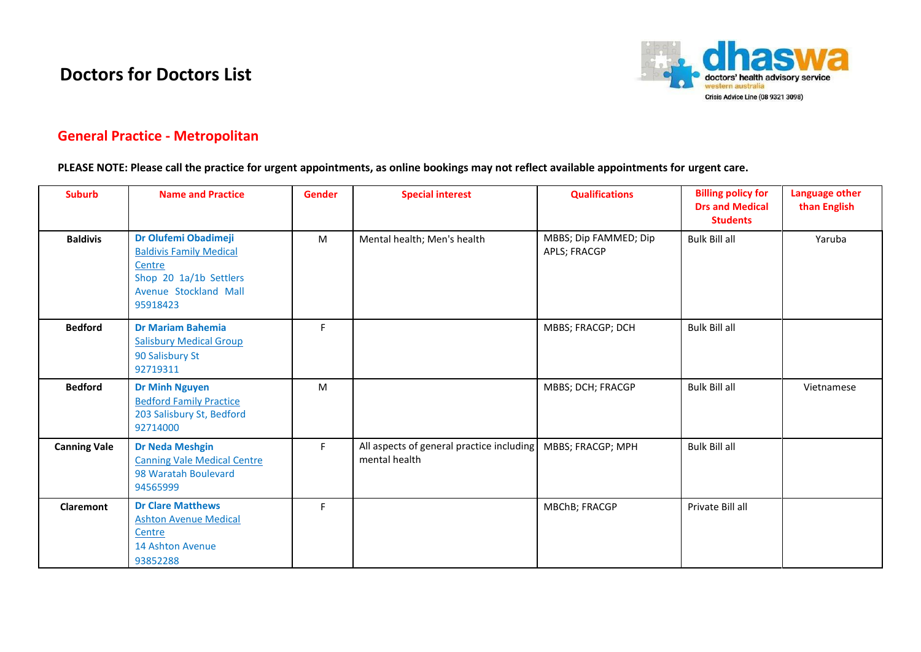## **Doctors for Doctors List**



## **General Practice - Metropolitan**

**PLEASE NOTE: Please call the practice for urgent appointments, as online bookings may not reflect available appointments for urgent care.**

| <b>Suburb</b>       | <b>Name and Practice</b>                                                                                                        | <b>Gender</b> | <b>Special interest</b>                                    | <b>Qualifications</b>                 | <b>Billing policy for</b><br><b>Drs and Medical</b><br><b>Students</b> | <b>Language other</b><br>than English |
|---------------------|---------------------------------------------------------------------------------------------------------------------------------|---------------|------------------------------------------------------------|---------------------------------------|------------------------------------------------------------------------|---------------------------------------|
| <b>Baldivis</b>     | Dr Olufemi Obadimeji<br><b>Baldivis Family Medical</b><br>Centre<br>Shop 20 1a/1b Settlers<br>Avenue Stockland Mall<br>95918423 | M             | Mental health; Men's health                                | MBBS; Dip FAMMED; Dip<br>APLS; FRACGP | <b>Bulk Bill all</b>                                                   | Yaruba                                |
| <b>Bedford</b>      | <b>Dr Mariam Bahemia</b><br><b>Salisbury Medical Group</b><br>90 Salisbury St<br>92719311                                       | F.            |                                                            | MBBS; FRACGP; DCH                     | <b>Bulk Bill all</b>                                                   |                                       |
| <b>Bedford</b>      | <b>Dr Minh Nguyen</b><br><b>Bedford Family Practice</b><br>203 Salisbury St, Bedford<br>92714000                                | M             |                                                            | MBBS; DCH; FRACGP                     | <b>Bulk Bill all</b>                                                   | Vietnamese                            |
| <b>Canning Vale</b> | <b>Dr Neda Meshgin</b><br><b>Canning Vale Medical Centre</b><br>98 Waratah Boulevard<br>94565999                                | F.            | All aspects of general practice including<br>mental health | MBBS; FRACGP; MPH                     | <b>Bulk Bill all</b>                                                   |                                       |
| <b>Claremont</b>    | <b>Dr Clare Matthews</b><br><b>Ashton Avenue Medical</b><br>Centre<br>14 Ashton Avenue<br>93852288                              | F.            |                                                            | MBChB; FRACGP                         | Private Bill all                                                       |                                       |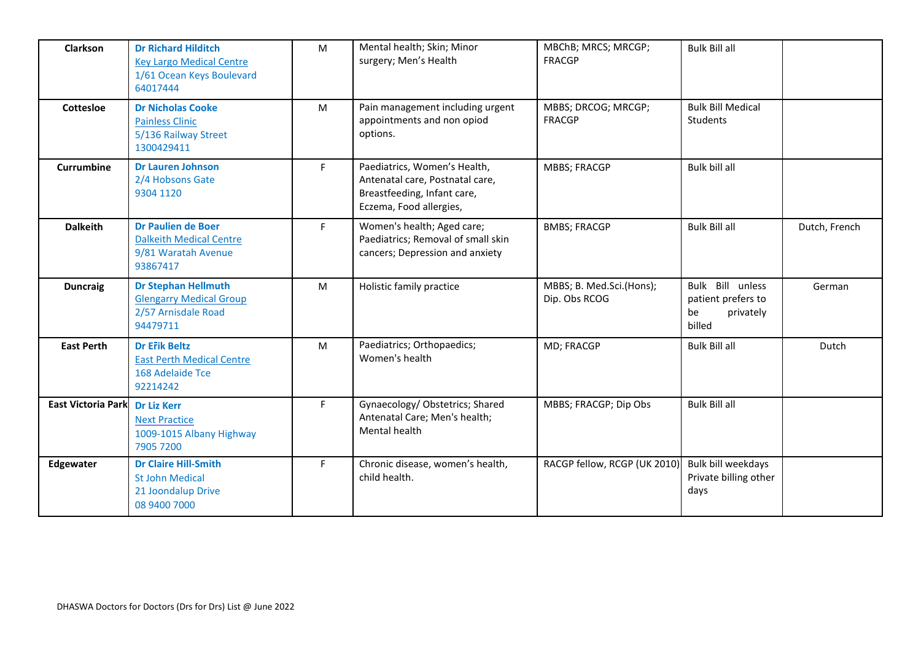| <b>Clarkson</b>           | <b>Dr Richard Hilditch</b><br><b>Key Largo Medical Centre</b><br>1/61 Ocean Keys Boulevard<br>64017444 | M         | Mental health; Skin; Minor<br>surgery; Men's Health                                                                       | MBChB; MRCS; MRCGP;<br><b>FRACGP</b>      | <b>Bulk Bill all</b>                                                |               |
|---------------------------|--------------------------------------------------------------------------------------------------------|-----------|---------------------------------------------------------------------------------------------------------------------------|-------------------------------------------|---------------------------------------------------------------------|---------------|
| Cottesloe                 | <b>Dr Nicholas Cooke</b><br><b>Painless Clinic</b><br>5/136 Railway Street<br>1300429411               | M         | Pain management including urgent<br>appointments and non opiod<br>options.                                                | MBBS; DRCOG; MRCGP;<br><b>FRACGP</b>      | <b>Bulk Bill Medical</b><br>Students                                |               |
| Currumbine                | <b>Dr Lauren Johnson</b><br>2/4 Hobsons Gate<br>9304 1120                                              | F         | Paediatrics, Women's Health,<br>Antenatal care, Postnatal care,<br>Breastfeeding, Infant care,<br>Eczema, Food allergies, | <b>MBBS; FRACGP</b>                       | Bulk bill all                                                       |               |
| <b>Dalkeith</b>           | <b>Dr Paulien de Boer</b><br><b>Dalkeith Medical Centre</b><br>9/81 Waratah Avenue<br>93867417         | F.        | Women's health; Aged care;<br>Paediatrics; Removal of small skin<br>cancers; Depression and anxiety                       | <b>BMBS; FRACGP</b>                       | <b>Bulk Bill all</b>                                                | Dutch, French |
| <b>Duncraig</b>           | <b>Dr Stephan Hellmuth</b><br><b>Glengarry Medical Group</b><br>2/57 Arnisdale Road<br>94479711        | M         | Holistic family practice                                                                                                  | MBBS; B. Med.Sci.(Hons);<br>Dip. Obs RCOG | Bulk Bill unless<br>patient prefers to<br>be<br>privately<br>billed | German        |
| <b>East Perth</b>         | <b>Dr Erik Beltz</b><br><b>East Perth Medical Centre</b><br>168 Adelaide Tce<br>92214242               | ${\sf M}$ | Paediatrics; Orthopaedics;<br>Women's health                                                                              | MD; FRACGP                                | <b>Bulk Bill all</b>                                                | Dutch         |
| <b>East Victoria Park</b> | <b>Dr Liz Kerr</b><br><b>Next Practice</b><br>1009-1015 Albany Highway<br>7905 7200                    | F         | Gynaecology/ Obstetrics; Shared<br>Antenatal Care; Men's health;<br>Mental health                                         | MBBS; FRACGP; Dip Obs                     | <b>Bulk Bill all</b>                                                |               |
| Edgewater                 | <b>Dr Claire Hill-Smith</b><br><b>St John Medical</b><br>21 Joondalup Drive<br>08 9400 7000            | F         | Chronic disease, women's health,<br>child health.                                                                         | RACGP fellow, RCGP (UK 2010)              | Bulk bill weekdays<br>Private billing other<br>days                 |               |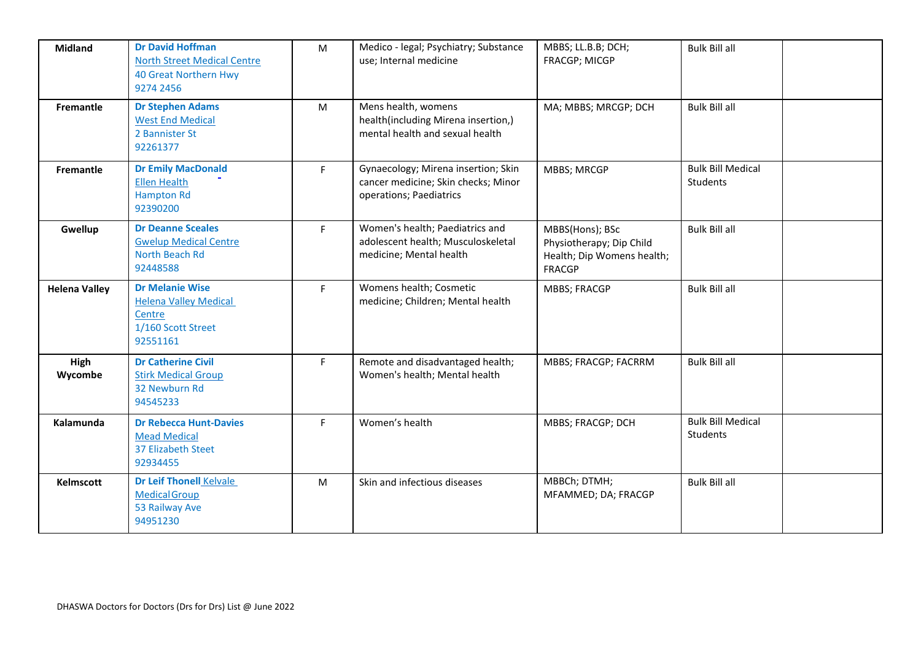| <b>Midland</b>       | <b>Dr David Hoffman</b><br><b>North Street Medical Centre</b><br><b>40 Great Northern Hwy</b><br>9274 2456 | M  | Medico - legal; Psychiatry; Substance<br>use; Internal medicine                                       | MBBS; LL.B.B; DCH;<br>FRACGP; MICGP                                                        | <b>Bulk Bill all</b>                 |
|----------------------|------------------------------------------------------------------------------------------------------------|----|-------------------------------------------------------------------------------------------------------|--------------------------------------------------------------------------------------------|--------------------------------------|
| Fremantle            | <b>Dr Stephen Adams</b><br><b>West End Medical</b><br>2 Bannister St<br>92261377                           | M  | Mens health, womens<br>health(including Mirena insertion,)<br>mental health and sexual health         | MA; MBBS; MRCGP; DCH                                                                       | <b>Bulk Bill all</b>                 |
| Fremantle            | <b>Dr Emily MacDonald</b><br><b>Ellen Health</b><br><b>Hampton Rd</b><br>92390200                          | F. | Gynaecology; Mirena insertion; Skin<br>cancer medicine; Skin checks; Minor<br>operations; Paediatrics | <b>MBBS; MRCGP</b>                                                                         | <b>Bulk Bill Medical</b><br>Students |
| Gwellup              | <b>Dr Deanne Sceales</b><br><b>Gwelup Medical Centre</b><br>North Beach Rd<br>92448588                     | F. | Women's health; Paediatrics and<br>adolescent health; Musculoskeletal<br>medicine; Mental health      | MBBS(Hons); BSc<br>Physiotherapy; Dip Child<br>Health; Dip Womens health;<br><b>FRACGP</b> | <b>Bulk Bill all</b>                 |
| <b>Helena Valley</b> | <b>Dr Melanie Wise</b><br><b>Helena Valley Medical</b><br>Centre<br>1/160 Scott Street<br>92551161         | F. | Womens health; Cosmetic<br>medicine; Children; Mental health                                          | <b>MBBS; FRACGP</b>                                                                        | <b>Bulk Bill all</b>                 |
| High<br>Wycombe      | <b>Dr Catherine Civil</b><br><b>Stirk Medical Group</b><br>32 Newburn Rd<br>94545233                       | F. | Remote and disadvantaged health;<br>Women's health; Mental health                                     | MBBS; FRACGP; FACRRM                                                                       | <b>Bulk Bill all</b>                 |
| Kalamunda            | <b>Dr Rebecca Hunt-Davies</b><br><b>Mead Medical</b><br>37 Elizabeth Steet<br>92934455                     | F. | Women's health                                                                                        | MBBS; FRACGP; DCH                                                                          | <b>Bulk Bill Medical</b><br>Students |
| <b>Kelmscott</b>     | <b>Dr Leif Thonell Kelvale</b><br><b>Medical Group</b><br>53 Railway Ave<br>94951230                       | M  | Skin and infectious diseases                                                                          | MBBCh; DTMH;<br>MFAMMED; DA; FRACGP                                                        | <b>Bulk Bill all</b>                 |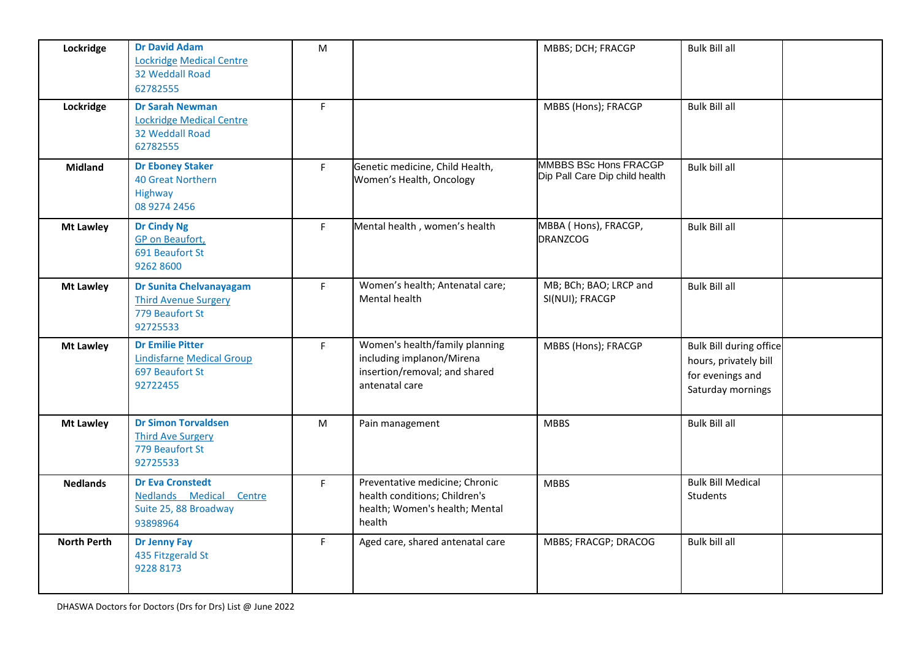| Lockridge          | <b>Dr David Adam</b><br>Lockridge Medical Centre<br>32 Weddall Road<br>62782555              | M  |                                                                                                                | MBBS; DCH; FRACGP                                       | <b>Bulk Bill all</b>                                                                             |  |
|--------------------|----------------------------------------------------------------------------------------------|----|----------------------------------------------------------------------------------------------------------------|---------------------------------------------------------|--------------------------------------------------------------------------------------------------|--|
| Lockridge          | <b>Dr Sarah Newman</b><br><b>Lockridge Medical Centre</b><br>32 Weddall Road<br>62782555     | F  |                                                                                                                | MBBS (Hons); FRACGP                                     | <b>Bulk Bill all</b>                                                                             |  |
| <b>Midland</b>     | <b>Dr Eboney Staker</b><br><b>40 Great Northern</b><br>Highway<br>08 9274 2456               | F  | Genetic medicine, Child Health,<br>Women's Health, Oncology                                                    | MMBBS BSc Hons FRACGP<br>Dip Pall Care Dip child health | Bulk bill all                                                                                    |  |
| <b>Mt Lawley</b>   | <b>Dr Cindy Ng</b><br><b>GP</b> on Beaufort,<br>691 Beaufort St<br>9262 8600                 | F. | Mental health, women's health                                                                                  | MBBA ( Hons), FRACGP,<br><b>DRANZCOG</b>                | <b>Bulk Bill all</b>                                                                             |  |
| <b>Mt Lawley</b>   | <b>Dr Sunita Chelvanayagam</b><br><b>Third Avenue Surgery</b><br>779 Beaufort St<br>92725533 | F  | Women's health; Antenatal care;<br>Mental health                                                               | MB; BCh; BAO; LRCP and<br>SI(NUI); FRACGP               | <b>Bulk Bill all</b>                                                                             |  |
| <b>Mt Lawley</b>   | <b>Dr Emilie Pitter</b><br><b>Lindisfarne Medical Group</b><br>697 Beaufort St<br>92722455   | F. | Women's health/family planning<br>including implanon/Mirena<br>insertion/removal; and shared<br>antenatal care | MBBS (Hons); FRACGP                                     | <b>Bulk Bill during office</b><br>hours, privately bill<br>for evenings and<br>Saturday mornings |  |
| <b>Mt Lawley</b>   | <b>Dr Simon Torvaldsen</b><br><b>Third Ave Surgery</b><br>779 Beaufort St<br>92725533        | M  | Pain management                                                                                                | <b>MBBS</b>                                             | <b>Bulk Bill all</b>                                                                             |  |
| <b>Nedlands</b>    | <b>Dr Eva Cronstedt</b><br>Nedlands Medical Centre<br>Suite 25, 88 Broadway<br>93898964      | F  | Preventative medicine; Chronic<br>health conditions; Children's<br>health; Women's health; Mental<br>health    | <b>MBBS</b>                                             | <b>Bulk Bill Medical</b><br>Students                                                             |  |
| <b>North Perth</b> | <b>Dr Jenny Fay</b><br>435 Fitzgerald St<br>9228 8173                                        | F  | Aged care, shared antenatal care                                                                               | MBBS; FRACGP; DRACOG                                    | Bulk bill all                                                                                    |  |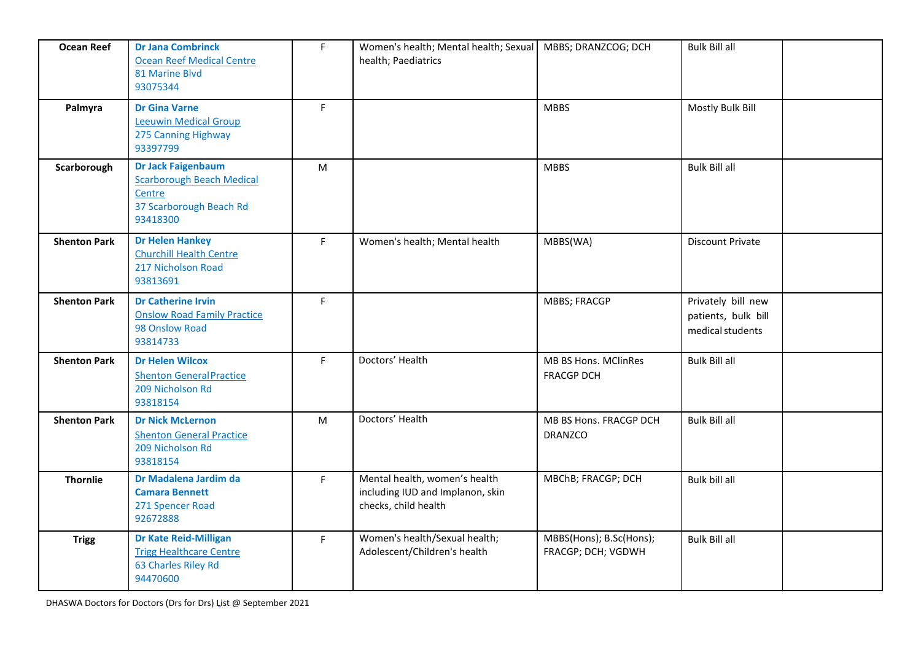| <b>Ocean Reef</b>   | <b>Dr Jana Combrinck</b><br><b>Ocean Reef Medical Centre</b><br>81 Marine Blvd<br>93075344                     | F. | Women's health; Mental health; Sexual<br>health; Paediatrics                              | MBBS; DRANZCOG; DCH                           | <b>Bulk Bill all</b>                                          |  |
|---------------------|----------------------------------------------------------------------------------------------------------------|----|-------------------------------------------------------------------------------------------|-----------------------------------------------|---------------------------------------------------------------|--|
| Palmyra             | <b>Dr Gina Varne</b><br><b>Leeuwin Medical Group</b><br>275 Canning Highway<br>93397799                        | F  |                                                                                           | <b>MBBS</b>                                   | Mostly Bulk Bill                                              |  |
| Scarborough         | <b>Dr Jack Faigenbaum</b><br><b>Scarborough Beach Medical</b><br>Centre<br>37 Scarborough Beach Rd<br>93418300 | M  |                                                                                           | <b>MBBS</b>                                   | <b>Bulk Bill all</b>                                          |  |
| <b>Shenton Park</b> | <b>Dr Helen Hankey</b><br><b>Churchill Health Centre</b><br>217 Nicholson Road<br>93813691                     | F. | Women's health; Mental health                                                             | MBBS(WA)                                      | <b>Discount Private</b>                                       |  |
| <b>Shenton Park</b> | <b>Dr Catherine Irvin</b><br><b>Onslow Road Family Practice</b><br>98 Onslow Road<br>93814733                  | F. |                                                                                           | <b>MBBS; FRACGP</b>                           | Privately bill new<br>patients, bulk bill<br>medical students |  |
| <b>Shenton Park</b> | <b>Dr Helen Wilcox</b><br><b>Shenton General Practice</b><br>209 Nicholson Rd<br>93818154                      | F  | Doctors' Health                                                                           | MB BS Hons. MClinRes<br><b>FRACGP DCH</b>     | <b>Bulk Bill all</b>                                          |  |
| <b>Shenton Park</b> | <b>Dr Nick McLernon</b><br><b>Shenton General Practice</b><br>209 Nicholson Rd<br>93818154                     | M  | Doctors' Health                                                                           | MB BS Hons. FRACGP DCH<br><b>DRANZCO</b>      | <b>Bulk Bill all</b>                                          |  |
| <b>Thornlie</b>     | Dr Madalena Jardim da<br><b>Camara Bennett</b><br>271 Spencer Road<br>92672888                                 | F. | Mental health, women's health<br>including IUD and Implanon, skin<br>checks, child health | MBChB; FRACGP; DCH                            | Bulk bill all                                                 |  |
| <b>Trigg</b>        | <b>Dr Kate Reid-Milligan</b><br><b>Trigg Healthcare Centre</b><br>63 Charles Riley Rd<br>94470600              | F. | Women's health/Sexual health;<br>Adolescent/Children's health                             | MBBS(Hons); B.Sc(Hons);<br>FRACGP; DCH; VGDWH | <b>Bulk Bill all</b>                                          |  |

DHASWA Doctors for Doctors (Drs for Drs) List @ September 2021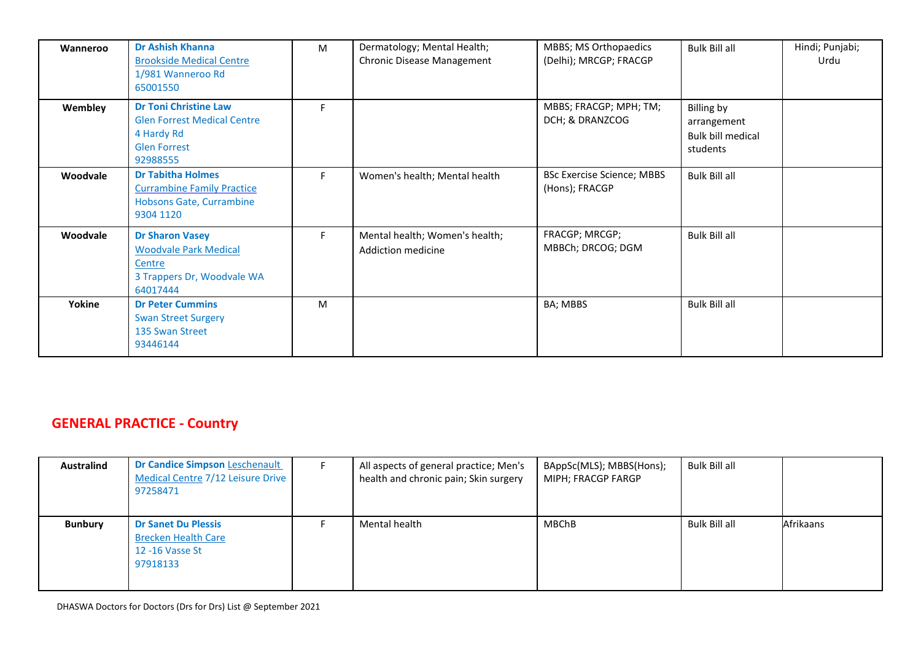| Wanneroo | <b>Dr Ashish Khanna</b><br><b>Brookside Medical Centre</b><br>1/981 Wanneroo Rd<br>65001550                         | м  | Dermatology; Mental Health;<br><b>Chronic Disease Management</b> | MBBS; MS Orthopaedics<br>(Delhi); MRCGP; FRACGP | <b>Bulk Bill all</b>                                              | Hindi; Punjabi;<br>Urdu |
|----------|---------------------------------------------------------------------------------------------------------------------|----|------------------------------------------------------------------|-------------------------------------------------|-------------------------------------------------------------------|-------------------------|
| Wembley  | <b>Dr Toni Christine Law</b><br><b>Glen Forrest Medical Centre</b><br>4 Hardy Rd<br><b>Glen Forrest</b><br>92988555 | F  |                                                                  | MBBS; FRACGP; MPH; TM;<br>DCH; & DRANZCOG       | Billing by<br>arrangement<br><b>Bulk bill medical</b><br>students |                         |
| Woodvale | <b>Dr Tabitha Holmes</b><br><b>Currambine Family Practice</b><br>Hobsons Gate, Currambine<br>9304 1120              | F. | Women's health; Mental health                                    | BSc Exercise Science; MBBS<br>(Hons); FRACGP    | <b>Bulk Bill all</b>                                              |                         |
| Woodvale | <b>Dr Sharon Vasey</b><br><b>Woodvale Park Medical</b><br>Centre<br>3 Trappers Dr, Woodvale WA<br>64017444          | F. | Mental health; Women's health;<br>Addiction medicine             | FRACGP; MRCGP;<br>MBBCh; DRCOG; DGM             | <b>Bulk Bill all</b>                                              |                         |
| Yokine   | <b>Dr Peter Cummins</b><br><b>Swan Street Surgery</b><br>135 Swan Street<br>93446144                                | M  |                                                                  | BA; MBBS                                        | <b>Bulk Bill all</b>                                              |                         |

## **GENERAL PRACTICE - Country**

| Australind     | <b>Dr Candice Simpson Leschenault</b><br>Medical Centre 7/12 Leisure Drive<br>97258471  | All aspects of general practice; Men's<br>health and chronic pain; Skin surgery | BAppSc(MLS); MBBS(Hons);<br>MIPH; FRACGP FARGP | Bulk Bill all |           |
|----------------|-----------------------------------------------------------------------------------------|---------------------------------------------------------------------------------|------------------------------------------------|---------------|-----------|
| <b>Bunbury</b> | <b>Dr Sanet Du Plessis</b><br><b>Brecken Health Care</b><br>12 -16 Vasse St<br>97918133 | Mental health                                                                   | <b>MBChB</b>                                   | Bulk Bill all | Afrikaans |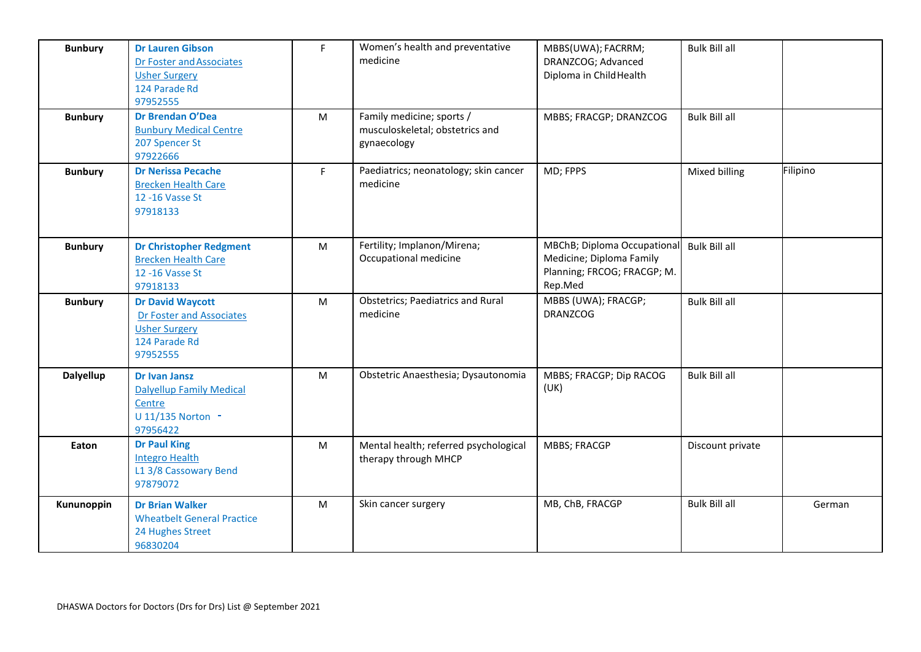| <b>Bunbury</b>   | <b>Dr Lauren Gibson</b><br>Dr Foster and Associates<br><b>Usher Surgery</b><br>124 Parade Rd<br>97952555 | F.        | Women's health and preventative<br>medicine                                 | MBBS(UWA); FACRRM;<br>DRANZCOG; Advanced<br>Diploma in Child Health                               | <b>Bulk Bill all</b> |          |
|------------------|----------------------------------------------------------------------------------------------------------|-----------|-----------------------------------------------------------------------------|---------------------------------------------------------------------------------------------------|----------------------|----------|
| <b>Bunbury</b>   | Dr Brendan O'Dea<br><b>Bunbury Medical Centre</b><br>207 Spencer St<br>97922666                          | M         | Family medicine; sports /<br>musculoskeletal; obstetrics and<br>gynaecology | MBBS; FRACGP; DRANZCOG                                                                            | <b>Bulk Bill all</b> |          |
| <b>Bunbury</b>   | <b>Dr Nerissa Pecache</b><br><b>Brecken Health Care</b><br>12 - 16 Vasse St<br>97918133                  | F.        | Paediatrics; neonatology; skin cancer<br>medicine                           | MD; FPPS                                                                                          | Mixed billing        | Filipino |
| <b>Bunbury</b>   | <b>Dr Christopher Redgment</b><br><b>Brecken Health Care</b><br>12 - 16 Vasse St<br>97918133             | ${\sf M}$ | Fertility; Implanon/Mirena;<br>Occupational medicine                        | MBChB; Diploma Occupational<br>Medicine; Diploma Family<br>Planning; FRCOG; FRACGP; M.<br>Rep.Med | <b>Bulk Bill all</b> |          |
| <b>Bunbury</b>   | <b>Dr David Waycott</b><br>Dr Foster and Associates<br><b>Usher Surgery</b><br>124 Parade Rd<br>97952555 | M         | <b>Obstetrics; Paediatrics and Rural</b><br>medicine                        | MBBS (UWA); FRACGP;<br><b>DRANZCOG</b>                                                            | <b>Bulk Bill all</b> |          |
| <b>Dalyellup</b> | <b>Dr Ivan Jansz</b><br><b>Dalyellup Family Medical</b><br>Centre<br>U 11/135 Norton -<br>97956422       | M         | Obstetric Anaesthesia; Dysautonomia                                         | MBBS; FRACGP; Dip RACOG<br>(UK)                                                                   | <b>Bulk Bill all</b> |          |
| Eaton            | <b>Dr Paul King</b><br><b>Integro Health</b><br>L1 3/8 Cassowary Bend<br>97879072                        | M         | Mental health; referred psychological<br>therapy through MHCP               | <b>MBBS; FRACGP</b>                                                                               | Discount private     |          |
| Kununoppin       | <b>Dr Brian Walker</b><br><b>Wheatbelt General Practice</b><br>24 Hughes Street<br>96830204              | M         | Skin cancer surgery                                                         | MB, ChB, FRACGP                                                                                   | <b>Bulk Bill all</b> | German   |